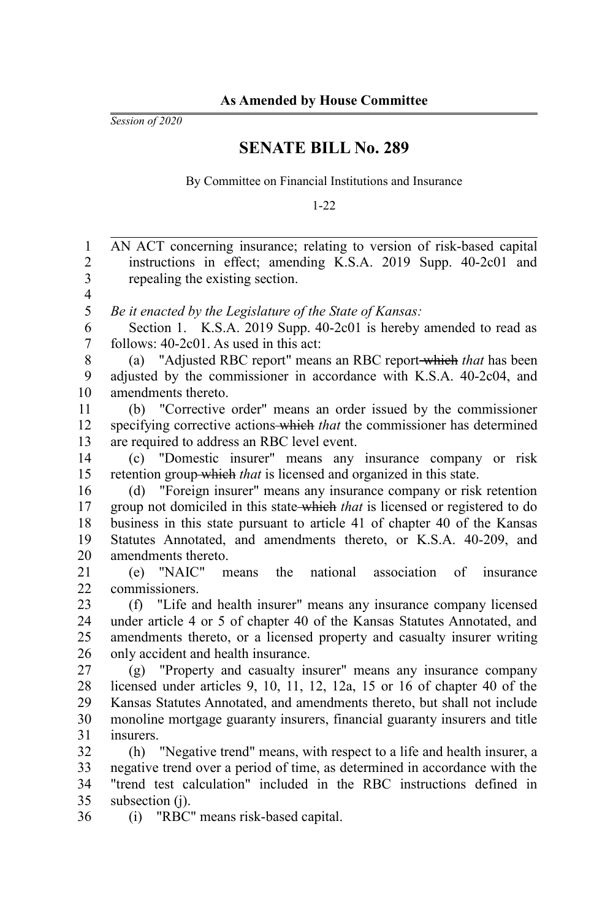*Session of 2020*

## **SENATE BILL No. 289**

By Committee on Financial Institutions and Insurance

1-22

AN ACT concerning insurance; relating to version of risk-based capital instructions in effect; amending K.S.A. 2019 Supp. 40-2c01 and repealing the existing section. *Be it enacted by the Legislature of the State of Kansas:* Section 1. K.S.A. 2019 Supp. 40-2c01 is hereby amended to read as follows: 40-2c01. As used in this act: (a) "Adjusted RBC report" means an RBC report which *that* has been adjusted by the commissioner in accordance with K.S.A. 40-2c04, and amendments thereto. (b) "Corrective order" means an order issued by the commissioner specifying corrective actions which *that* the commissioner has determined are required to address an RBC level event. (c) "Domestic insurer" means any insurance company or risk retention group which *that* is licensed and organized in this state. (d) "Foreign insurer" means any insurance company or risk retention group not domiciled in this state which *that* is licensed or registered to do business in this state pursuant to article 41 of chapter 40 of the Kansas Statutes Annotated, and amendments thereto, or K.S.A. 40-209, and amendments thereto. (e) "NAIC" means the national association of insurance commissioners. (f) "Life and health insurer" means any insurance company licensed under article 4 or 5 of chapter 40 of the Kansas Statutes Annotated, and amendments thereto, or a licensed property and casualty insurer writing only accident and health insurance. (g) "Property and casualty insurer" means any insurance company licensed under articles 9, 10, 11, 12, 12a, 15 or 16 of chapter 40 of the Kansas Statutes Annotated, and amendments thereto, but shall not include monoline mortgage guaranty insurers, financial guaranty insurers and title insurers. (h) "Negative trend" means, with respect to a life and health insurer, a negative trend over a period of time, as determined in accordance with the "trend test calculation" included in the RBC instructions defined in subsection (i). (i) "RBC" means risk-based capital. 1 2 3 4 5 6 7 8 9 10 11 12 13 14 15 16 17 18 19 20 21 22 23 24 25 26 27 28 29 30 31 32 33 34 35 36